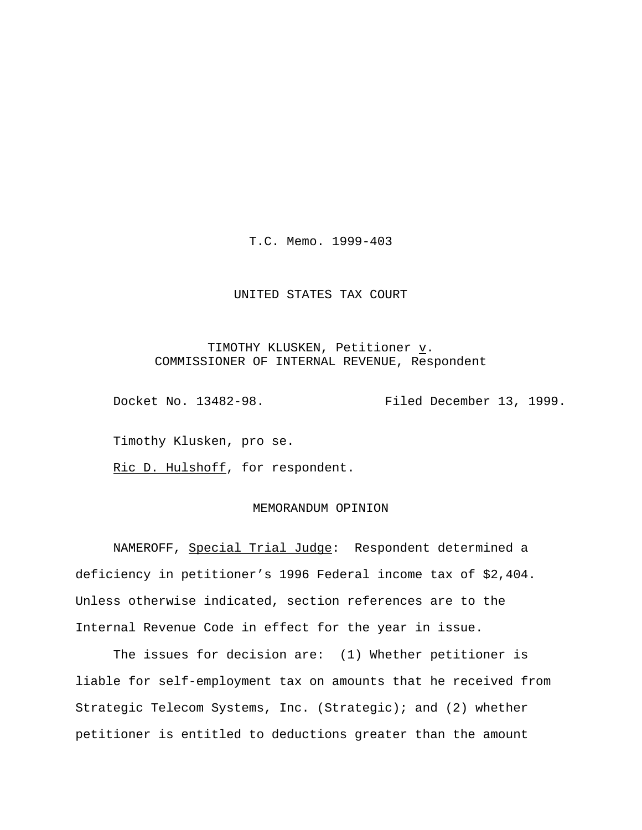T.C. Memo. 1999-403

## UNITED STATES TAX COURT

# TIMOTHY KLUSKEN, Petitioner v. COMMISSIONER OF INTERNAL REVENUE, Respondent

Docket No. 13482-98. Filed December 13, 1999.

Timothy Klusken, pro se.

Ric D. Hulshoff, for respondent.

## MEMORANDUM OPINION

NAMEROFF, Special Trial Judge: Respondent determined a deficiency in petitioner's 1996 Federal income tax of \$2,404. Unless otherwise indicated, section references are to the Internal Revenue Code in effect for the year in issue.

The issues for decision are: (1) Whether petitioner is liable for self-employment tax on amounts that he received from Strategic Telecom Systems, Inc. (Strategic); and (2) whether petitioner is entitled to deductions greater than the amount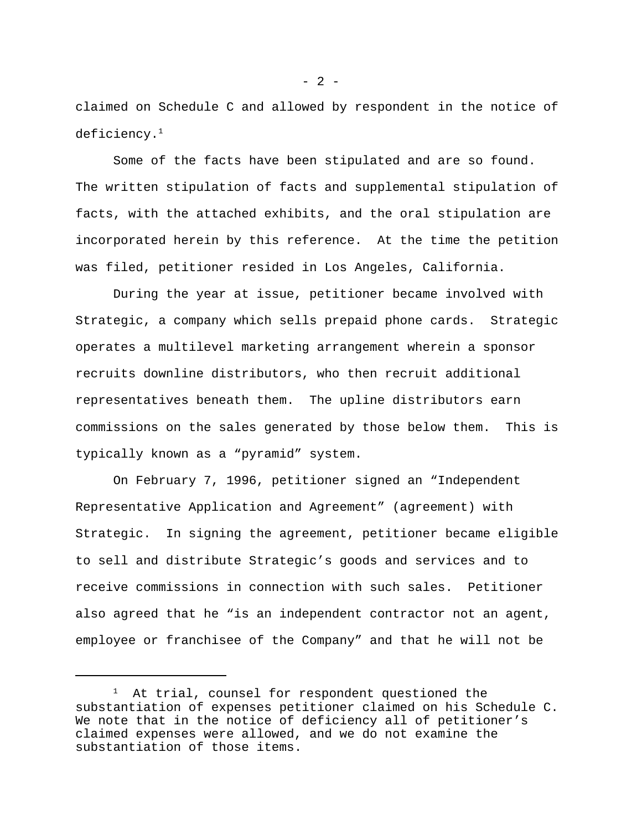claimed on Schedule C and allowed by respondent in the notice of deficiency.<sup>1</sup>

Some of the facts have been stipulated and are so found. The written stipulation of facts and supplemental stipulation of facts, with the attached exhibits, and the oral stipulation are incorporated herein by this reference. At the time the petition was filed, petitioner resided in Los Angeles, California.

During the year at issue, petitioner became involved with Strategic, a company which sells prepaid phone cards. Strategic operates a multilevel marketing arrangement wherein a sponsor recruits downline distributors, who then recruit additional representatives beneath them. The upline distributors earn commissions on the sales generated by those below them. This is typically known as a "pyramid" system.

On February 7, 1996, petitioner signed an "Independent Representative Application and Agreement" (agreement) with Strategic. In signing the agreement, petitioner became eligible to sell and distribute Strategic's goods and services and to receive commissions in connection with such sales. Petitioner also agreed that he "is an independent contractor not an agent, employee or franchisee of the Company" and that he will not be

 $1$  At trial, counsel for respondent questioned the substantiation of expenses petitioner claimed on his Schedule C. We note that in the notice of deficiency all of petitioner's claimed expenses were allowed, and we do not examine the substantiation of those items.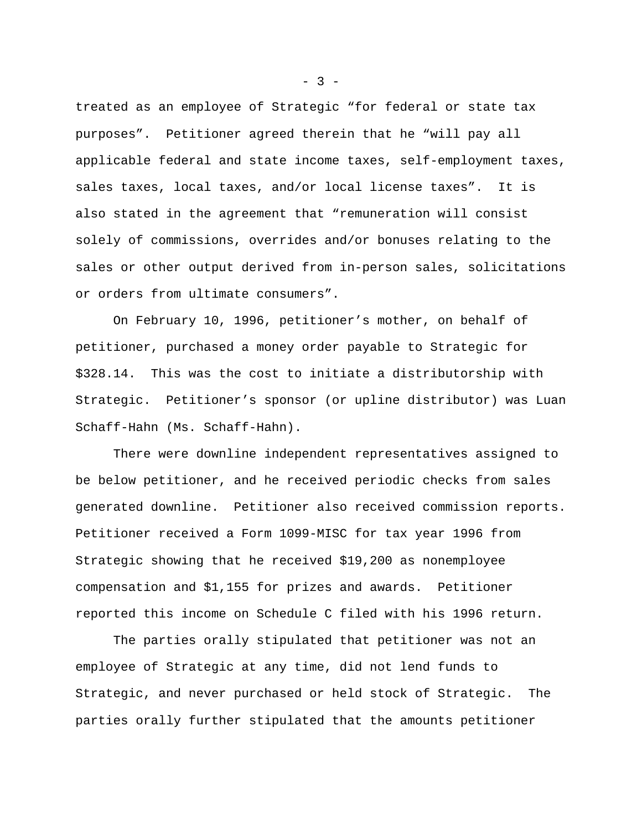treated as an employee of Strategic "for federal or state tax purposes". Petitioner agreed therein that he "will pay all applicable federal and state income taxes, self-employment taxes, sales taxes, local taxes, and/or local license taxes". It is also stated in the agreement that "remuneration will consist solely of commissions, overrides and/or bonuses relating to the sales or other output derived from in-person sales, solicitations or orders from ultimate consumers".

On February 10, 1996, petitioner's mother, on behalf of petitioner, purchased a money order payable to Strategic for \$328.14. This was the cost to initiate a distributorship with Strategic. Petitioner's sponsor (or upline distributor) was Luan Schaff-Hahn (Ms. Schaff-Hahn).

There were downline independent representatives assigned to be below petitioner, and he received periodic checks from sales generated downline. Petitioner also received commission reports. Petitioner received a Form 1099-MISC for tax year 1996 from Strategic showing that he received \$19,200 as nonemployee compensation and \$1,155 for prizes and awards. Petitioner reported this income on Schedule C filed with his 1996 return.

The parties orally stipulated that petitioner was not an employee of Strategic at any time, did not lend funds to Strategic, and never purchased or held stock of Strategic. The parties orally further stipulated that the amounts petitioner

 $-3 -$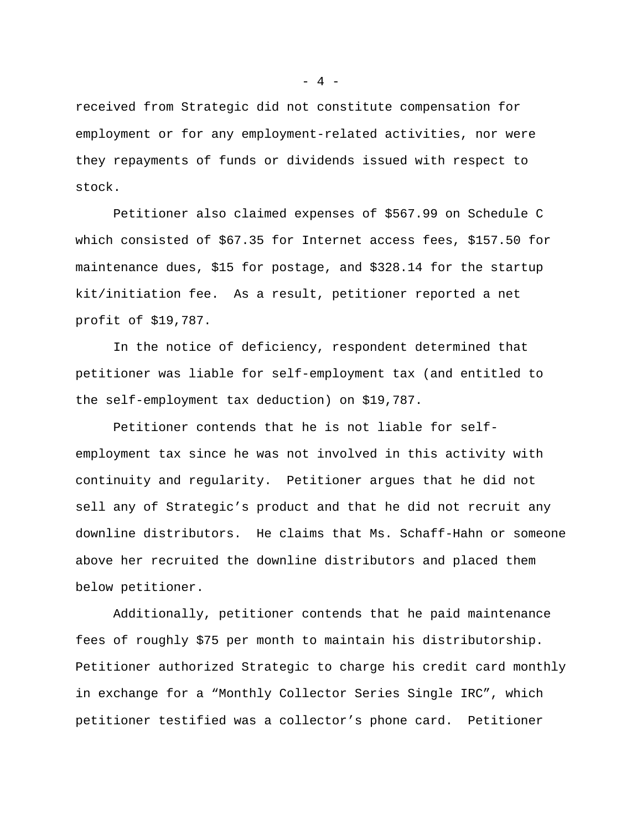received from Strategic did not constitute compensation for employment or for any employment-related activities, nor were they repayments of funds or dividends issued with respect to stock.

Petitioner also claimed expenses of \$567.99 on Schedule C which consisted of \$67.35 for Internet access fees, \$157.50 for maintenance dues, \$15 for postage, and \$328.14 for the startup kit/initiation fee. As a result, petitioner reported a net profit of \$19,787.

In the notice of deficiency, respondent determined that petitioner was liable for self-employment tax (and entitled to the self-employment tax deduction) on \$19,787.

Petitioner contends that he is not liable for selfemployment tax since he was not involved in this activity with continuity and regularity. Petitioner argues that he did not sell any of Strategic's product and that he did not recruit any downline distributors. He claims that Ms. Schaff-Hahn or someone above her recruited the downline distributors and placed them below petitioner.

Additionally, petitioner contends that he paid maintenance fees of roughly \$75 per month to maintain his distributorship. Petitioner authorized Strategic to charge his credit card monthly in exchange for a "Monthly Collector Series Single IRC", which petitioner testified was a collector's phone card. Petitioner

 $- 4 -$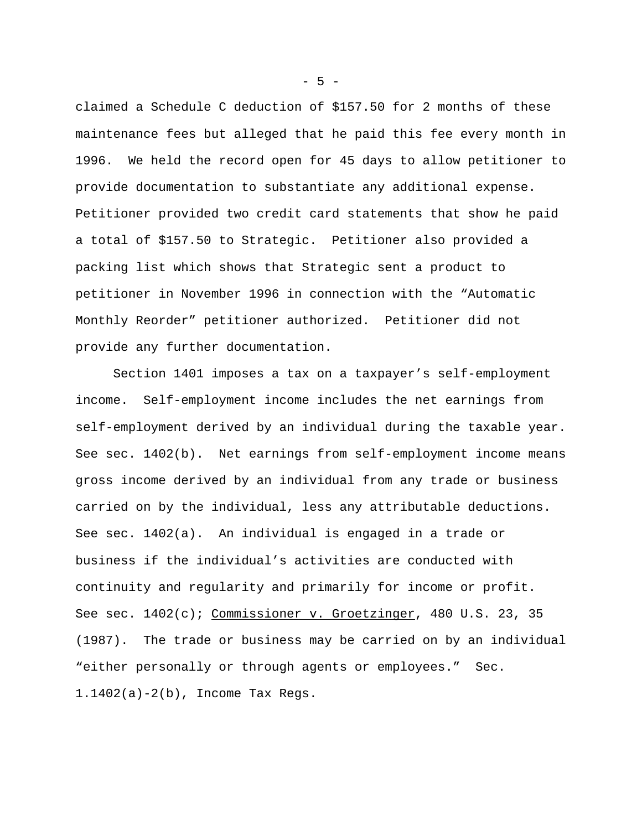claimed a Schedule C deduction of \$157.50 for 2 months of these maintenance fees but alleged that he paid this fee every month in 1996. We held the record open for 45 days to allow petitioner to provide documentation to substantiate any additional expense. Petitioner provided two credit card statements that show he paid a total of \$157.50 to Strategic. Petitioner also provided a packing list which shows that Strategic sent a product to petitioner in November 1996 in connection with the "Automatic Monthly Reorder" petitioner authorized. Petitioner did not provide any further documentation.

Section 1401 imposes a tax on a taxpayer's self-employment income. Self-employment income includes the net earnings from self-employment derived by an individual during the taxable year. See sec. 1402(b). Net earnings from self-employment income means gross income derived by an individual from any trade or business carried on by the individual, less any attributable deductions. See sec. 1402(a). An individual is engaged in a trade or business if the individual's activities are conducted with continuity and regularity and primarily for income or profit. See sec.  $1402(c)$ ; Commissioner v. Groetzinger, 480 U.S. 23, 35 (1987). The trade or business may be carried on by an individual "either personally or through agents or employees." Sec. 1.1402(a)-2(b), Income Tax Regs.

 $-5 -$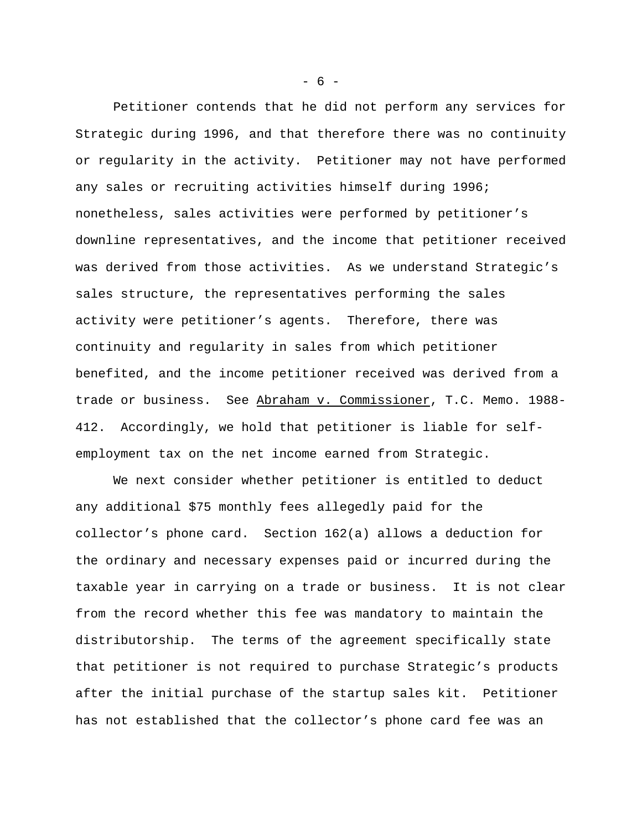Petitioner contends that he did not perform any services for Strategic during 1996, and that therefore there was no continuity or regularity in the activity. Petitioner may not have performed any sales or recruiting activities himself during 1996; nonetheless, sales activities were performed by petitioner's downline representatives, and the income that petitioner received was derived from those activities. As we understand Strategic's sales structure, the representatives performing the sales activity were petitioner's agents. Therefore, there was continuity and regularity in sales from which petitioner benefited, and the income petitioner received was derived from a trade or business. See Abraham v. Commissioner, T.C. Memo. 1988- 412. Accordingly, we hold that petitioner is liable for selfemployment tax on the net income earned from Strategic.

We next consider whether petitioner is entitled to deduct any additional \$75 monthly fees allegedly paid for the collector's phone card. Section 162(a) allows a deduction for the ordinary and necessary expenses paid or incurred during the taxable year in carrying on a trade or business. It is not clear from the record whether this fee was mandatory to maintain the distributorship. The terms of the agreement specifically state that petitioner is not required to purchase Strategic's products after the initial purchase of the startup sales kit. Petitioner has not established that the collector's phone card fee was an

 $- 6 -$